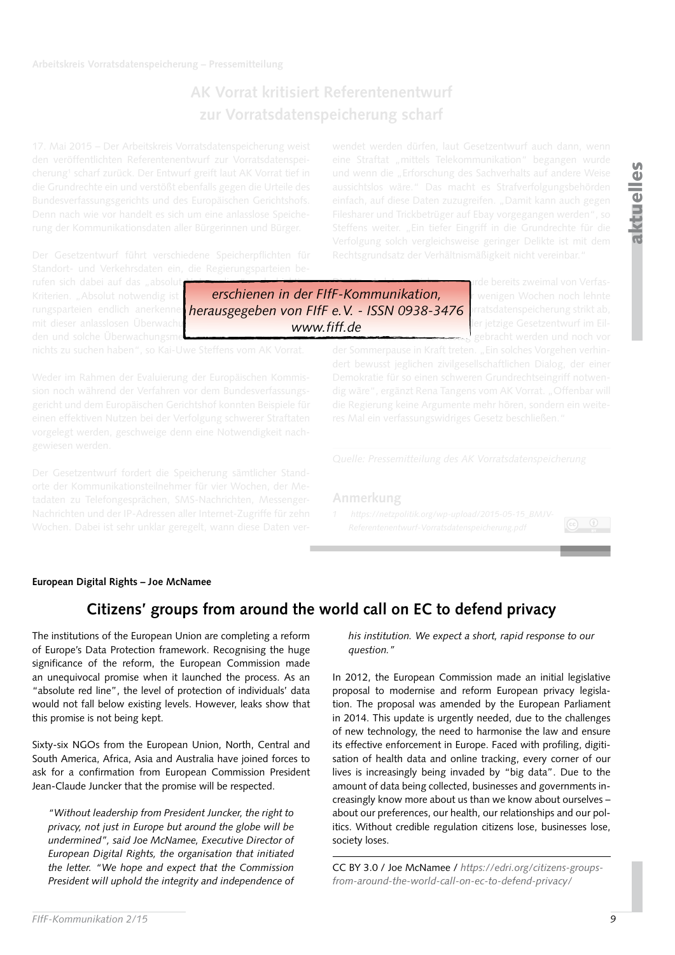# **AK Vorrat kritisiert Referentenentwurf zur Vorratsdatenspeicherung scharf**

*erschienen in der FIfF-Kommunikation,*

*www.fiff.de*

rufen sich dabei auf das "absolut Kriterien. "Absolut notwendig ist rungsparteien endlich anerkenne <mark>herausgegeben von FIfF e.V. - ISSN 0938-3476 </mark>prratsdatenspeicherung strikt ab,

## **Anmerkung**



## **European Digital Rights – Joe McNamee**

## **Citizens' groups from around the world call on EC to defend privacy**

The institutions of the European Union are completing a reform of Europe's Data Protection framework. Recognising the huge significance of the reform, the European Commission made an unequivocal promise when it launched the process. As an "absolute red line", the level of protection of individuals' data would not fall below existing levels. However, leaks show that this promise is not being kept.

Sixty-six NGOs from the European Union, North, Central and South America, Africa, Asia and Australia have joined forces to ask for a confirmation from European Commission President Jean-Claude Juncker that the promise will be respected.

*"Without leadership from President Juncker, the right to privacy, not just in Europe but around the globe will be undermined", said Joe McNamee, Executive Director of European Digital Rights, the organisation that initiated the letter. "We hope and expect that the Commission President will uphold the integrity and independence of*  *his institution. We expect a short, rapid response to our question."*

In 2012, the European Commission made an initial legislative proposal to modernise and reform European privacy legislation. The proposal was amended by the European Parliament in 2014. This update is urgently needed, due to the challenges of new technology, the need to harmonise the law and ensure its effective enforcement in Europe. Faced with profiling, digitisation of health data and online tracking, every corner of our lives is increasingly being invaded by "big data". Due to the amount of data being collected, businesses and governments increasingly know more about us than we know about ourselves – about our preferences, our health, our relationships and our politics. Without credible regulation citizens lose, businesses lose, society loses.

CC BY 3.0 / Joe McNamee / *[https://edri.org/citizens-groups](https://edri.org/citizens-groups-from-around-the-world-call-on-ec-to-defend-privacy/)[from-around-the-world-call-on-ec-to-defend-privacy/](https://edri.org/citizens-groups-from-around-the-world-call-on-ec-to-defend-privacy/)*